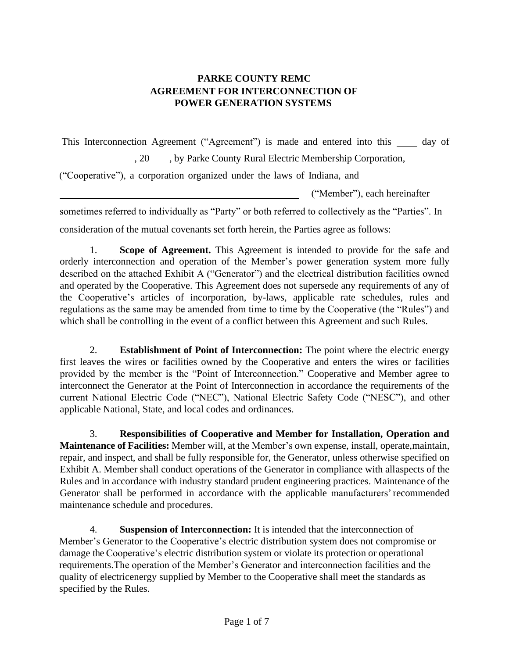## **PARKE COUNTY REMC AGREEMENT FOR INTERCONNECTION OF POWER GENERATION SYSTEMS**

This Interconnection Agreement ("Agreement") is made and entered into this  $\_\_\_$  day of

5. 20 , by Parke County Rural Electric Membership Corporation,

("Cooperative"), a corporation organized under the laws of Indiana, and

("Member"), each hereinafter

sometimes referred to individually as "Party" or both referred to collectively as the "Parties". In

consideration of the mutual covenants set forth herein, the Parties agree as follows:

1. **Scope of Agreement.** This Agreement is intended to provide for the safe and orderly interconnection and operation of the Member's power generation system more fully described on the attached Exhibit A ("Generator") and the electrical distribution facilities owned and operated by the Cooperative. This Agreement does not supersede any requirements of any of the Cooperative's articles of incorporation, by-laws, applicable rate schedules, rules and regulations as the same may be amended from time to time by the Cooperative (the "Rules") and which shall be controlling in the event of a conflict between this Agreement and such Rules.

2. **Establishment of Point of Interconnection:** The point where the electric energy first leaves the wires or facilities owned by the Cooperative and enters the wires or facilities provided by the member is the "Point of Interconnection." Cooperative and Member agree to interconnect the Generator at the Point of Interconnection in accordance the requirements of the current National Electric Code ("NEC"), National Electric Safety Code ("NESC"), and other applicable National, State, and local codes and ordinances.

3. **Responsibilities of Cooperative and Member for Installation, Operation and Maintenance of Facilities:** Member will, at the Member's own expense, install, operate,maintain, repair, and inspect, and shall be fully responsible for, the Generator, unless otherwise specified on Exhibit A. Member shall conduct operations of the Generator in compliance with allaspects of the Rules and in accordance with industry standard prudent engineering practices. Maintenance of the Generator shall be performed in accordance with the applicable manufacturers'recommended maintenance schedule and procedures.

4. **Suspension of Interconnection:** It is intended that the interconnection of Member's Generator to the Cooperative's electric distribution system does not compromise or damage the Cooperative's electric distribution system or violate its protection or operational requirements.The operation of the Member's Generator and interconnection facilities and the quality of electricenergy supplied by Member to the Cooperative shall meet the standards as specified by the Rules.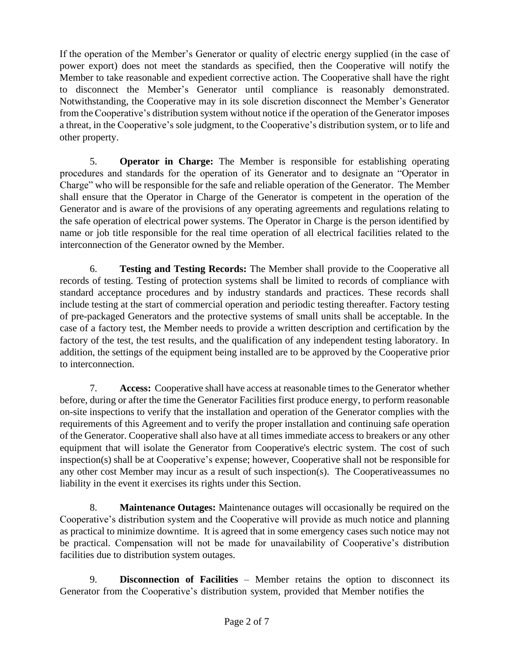If the operation of the Member's Generator or quality of electric energy supplied (in the case of power export) does not meet the standards as specified, then the Cooperative will notify the Member to take reasonable and expedient corrective action. The Cooperative shall have the right to disconnect the Member's Generator until compliance is reasonably demonstrated. Notwithstanding, the Cooperative may in its sole discretion disconnect the Member's Generator from the Cooperative's distribution system without notice if the operation of the Generator imposes a threat, in the Cooperative's sole judgment, to the Cooperative's distribution system, or to life and other property.

5. **Operator in Charge:** The Member is responsible for establishing operating procedures and standards for the operation of its Generator and to designate an "Operator in Charge" who will be responsible for the safe and reliable operation of the Generator. The Member shall ensure that the Operator in Charge of the Generator is competent in the operation of the Generator and is aware of the provisions of any operating agreements and regulations relating to the safe operation of electrical power systems. The Operator in Charge is the person identified by name or job title responsible for the real time operation of all electrical facilities related to the interconnection of the Generator owned by the Member.

6. **Testing and Testing Records:** The Member shall provide to the Cooperative all records of testing. Testing of protection systems shall be limited to records of compliance with standard acceptance procedures and by industry standards and practices. These records shall include testing at the start of commercial operation and periodic testing thereafter. Factory testing of pre-packaged Generators and the protective systems of small units shall be acceptable. In the case of a factory test, the Member needs to provide a written description and certification by the factory of the test, the test results, and the qualification of any independent testing laboratory. In addition, the settings of the equipment being installed are to be approved by the Cooperative prior to interconnection.

7. **Access:** Cooperative shall have access at reasonable times to the Generator whether before, during or after the time the Generator Facilities first produce energy, to perform reasonable on-site inspections to verify that the installation and operation of the Generator complies with the requirements of this Agreement and to verify the proper installation and continuing safe operation of the Generator. Cooperative shall also have at all times immediate access to breakers or any other equipment that will isolate the Generator from Cooperative's electric system. The cost of such inspection(s) shall be at Cooperative's expense; however, Cooperative shall not be responsible for any other cost Member may incur as a result of such inspection(s). The Cooperativeassumes no liability in the event it exercises its rights under this Section.

8. **Maintenance Outages:** Maintenance outages will occasionally be required on the Cooperative's distribution system and the Cooperative will provide as much notice and planning as practical to minimize downtime. It is agreed that in some emergency cases such notice may not be practical. Compensation will not be made for unavailability of Cooperative's distribution facilities due to distribution system outages.

9. **Disconnection of Facilities** – Member retains the option to disconnect its Generator from the Cooperative's distribution system, provided that Member notifies the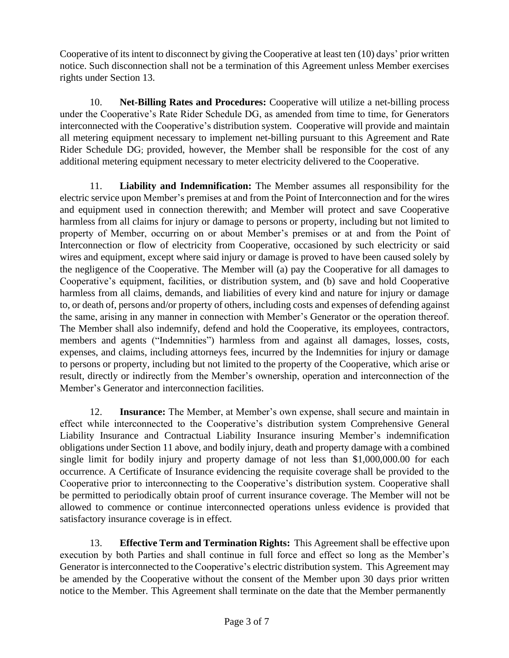Cooperative of its intent to disconnect by giving the Cooperative at least ten (10) days' prior written notice. Such disconnection shall not be a termination of this Agreement unless Member exercises rights under Section 13.

10. **Net-Billing Rates and Procedures:** Cooperative will utilize a net-billing process under the Cooperative's Rate Rider Schedule DG, as amended from time to time, for Generators interconnected with the Cooperative's distribution system. Cooperative will provide and maintain all metering equipment necessary to implement net-billing pursuant to this Agreement and Rate Rider Schedule DG; provided, however, the Member shall be responsible for the cost of any additional metering equipment necessary to meter electricity delivered to the Cooperative.

11. **Liability and Indemnification:** The Member assumes all responsibility for the electric service upon Member's premises at and from the Point of Interconnection and for the wires and equipment used in connection therewith; and Member will protect and save Cooperative harmless from all claims for injury or damage to persons or property, including but not limited to property of Member, occurring on or about Member's premises or at and from the Point of Interconnection or flow of electricity from Cooperative, occasioned by such electricity or said wires and equipment, except where said injury or damage is proved to have been caused solely by the negligence of the Cooperative. The Member will (a) pay the Cooperative for all damages to Cooperative's equipment, facilities, or distribution system, and (b) save and hold Cooperative harmless from all claims, demands, and liabilities of every kind and nature for injury or damage to, or death of, persons and/or property of others, including costs and expenses of defending against the same, arising in any manner in connection with Member's Generator or the operation thereof. The Member shall also indemnify, defend and hold the Cooperative, its employees, contractors, members and agents ("Indemnities") harmless from and against all damages, losses, costs, expenses, and claims, including attorneys fees, incurred by the Indemnities for injury or damage to persons or property, including but not limited to the property of the Cooperative, which arise or result, directly or indirectly from the Member's ownership, operation and interconnection of the Member's Generator and interconnection facilities.

12. **Insurance:** The Member, at Member's own expense, shall secure and maintain in effect while interconnected to the Cooperative's distribution system Comprehensive General Liability Insurance and Contractual Liability Insurance insuring Member's indemnification obligations under Section 11 above, and bodily injury, death and property damage with a combined single limit for bodily injury and property damage of not less than \$1,000,000.00 for each occurrence. A Certificate of Insurance evidencing the requisite coverage shall be provided to the Cooperative prior to interconnecting to the Cooperative's distribution system. Cooperative shall be permitted to periodically obtain proof of current insurance coverage. The Member will not be allowed to commence or continue interconnected operations unless evidence is provided that satisfactory insurance coverage is in effect.

13. **Effective Term and Termination Rights:** This Agreement shall be effective upon execution by both Parties and shall continue in full force and effect so long as the Member's Generator is interconnected to the Cooperative's electric distribution system. This Agreement may be amended by the Cooperative without the consent of the Member upon 30 days prior written notice to the Member. This Agreement shall terminate on the date that the Member permanently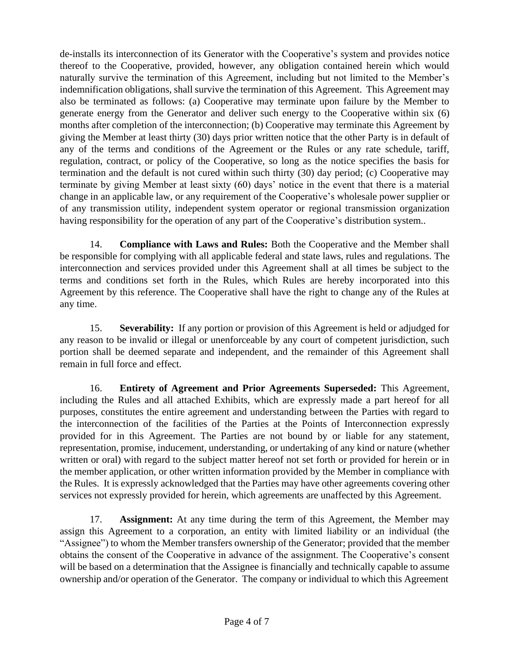de-installs its interconnection of its Generator with the Cooperative's system and provides notice thereof to the Cooperative, provided, however, any obligation contained herein which would naturally survive the termination of this Agreement, including but not limited to the Member's indemnification obligations, shall survive the termination of this Agreement. This Agreement may also be terminated as follows: (a) Cooperative may terminate upon failure by the Member to generate energy from the Generator and deliver such energy to the Cooperative within six (6) months after completion of the interconnection; (b) Cooperative may terminate this Agreement by giving the Member at least thirty (30) days prior written notice that the other Party is in default of any of the terms and conditions of the Agreement or the Rules or any rate schedule, tariff, regulation, contract, or policy of the Cooperative, so long as the notice specifies the basis for termination and the default is not cured within such thirty (30) day period; (c) Cooperative may terminate by giving Member at least sixty (60) days' notice in the event that there is a material change in an applicable law, or any requirement of the Cooperative's wholesale power supplier or of any transmission utility, independent system operator or regional transmission organization having responsibility for the operation of any part of the Cooperative's distribution system..

14. **Compliance with Laws and Rules:** Both the Cooperative and the Member shall be responsible for complying with all applicable federal and state laws, rules and regulations. The interconnection and services provided under this Agreement shall at all times be subject to the terms and conditions set forth in the Rules, which Rules are hereby incorporated into this Agreement by this reference. The Cooperative shall have the right to change any of the Rules at any time.

15. **Severability:** If any portion or provision of this Agreement is held or adjudged for any reason to be invalid or illegal or unenforceable by any court of competent jurisdiction, such portion shall be deemed separate and independent, and the remainder of this Agreement shall remain in full force and effect.

16. **Entirety of Agreement and Prior Agreements Superseded:** This Agreement, including the Rules and all attached Exhibits, which are expressly made a part hereof for all purposes, constitutes the entire agreement and understanding between the Parties with regard to the interconnection of the facilities of the Parties at the Points of Interconnection expressly provided for in this Agreement. The Parties are not bound by or liable for any statement, representation, promise, inducement, understanding, or undertaking of any kind or nature (whether written or oral) with regard to the subject matter hereof not set forth or provided for herein or in the member application, or other written information provided by the Member in compliance with the Rules. It is expressly acknowledged that the Parties may have other agreements covering other services not expressly provided for herein, which agreements are unaffected by this Agreement.

17. **Assignment:** At any time during the term of this Agreement, the Member may assign this Agreement to a corporation, an entity with limited liability or an individual (the "Assignee") to whom the Member transfers ownership of the Generator; provided that the member obtains the consent of the Cooperative in advance of the assignment. The Cooperative's consent will be based on a determination that the Assignee is financially and technically capable to assume ownership and/or operation of the Generator. The company or individual to which this Agreement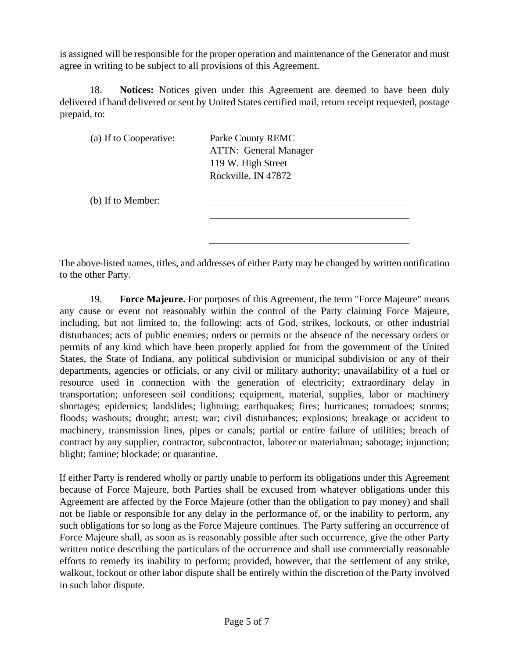is assigned will be responsible for the proper operation and maintenance of the Generator and must agree in writing to be subject to all provisions of this Agreement.

18. **Notices:** Notices given under this Agreement are deemed to have been duly delivered if hand delivered or sent by United States certified mail, return receipt requested, postage prepaid, to:

| (a) If to Cooperative: | Parke County REMC<br><b>ATTN:</b> General Manager<br>119 W. High Street<br>Rockville, IN 47872 |
|------------------------|------------------------------------------------------------------------------------------------|
| (b) If to Member:      |                                                                                                |
|                        |                                                                                                |

The above-listed names, titles, and addresses of either Party may be changed by written notification to the other Party.

19. **Force Majeure.** For purposes of this Agreement, the term "Force Majeure" means any cause or event not reasonably within the control of the Party claiming Force Majeure, including, but not limited to, the following: acts of God, strikes, lockouts, or other industrial disturbances; acts of public enemies; orders or permits or the absence of the necessary orders or permits of any kind which have been properly applied for from the government of the United States, the State of Indiana, any political subdivision or municipal subdivision or any of their departments, agencies or officials, or any civil or military authority; unavailability of a fuel or resource used in connection with the generation of electricity; extraordinary delay in transportation; unforeseen soil conditions; equipment, material, supplies, labor or machinery shortages; epidemics; landslides; lightning; earthquakes; fires; hurricanes; tornadoes; storms; floods; washouts; drought; arrest; war; civil disturbances; explosions; breakage or accident to machinery, transmission lines, pipes or canals; partial or entire failure of utilities; breach of contract by any supplier, contractor, subcontractor, laborer or materialman; sabotage; injunction; blight; famine; blockade; or quarantine.

If either Party is rendered wholly or partly unable to perform its obligations under this Agreement because of Force Majeure, both Parties shall be excused from whatever obligations under this Agreement are affected by the Force Majeure (other than the obligation to pay money) and shall not be liable or responsible for any delay in the performance of, or the inability to perform, any such obligations for so long as the Force Majeure continues. The Party suffering an occurrence of Force Majeure shall, as soon as is reasonably possible after such occurrence, give the other Party written notice describing the particulars of the occurrence and shall use commercially reasonable efforts to remedy its inability to perform; provided, however, that the settlement of any strike, walkout, lockout or other labor dispute shall be entirely within the discretion of the Party involved in such labor dispute.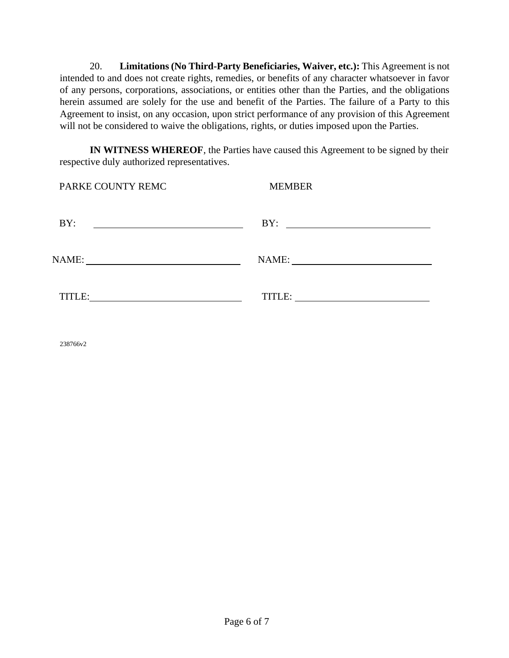20. **Limitations (No Third-Party Beneficiaries, Waiver, etc.):** This Agreement is not intended to and does not create rights, remedies, or benefits of any character whatsoever in favor of any persons, corporations, associations, or entities other than the Parties, and the obligations herein assumed are solely for the use and benefit of the Parties. The failure of a Party to this Agreement to insist, on any occasion, upon strict performance of any provision of this Agreement will not be considered to waive the obligations, rights, or duties imposed upon the Parties.

**IN WITNESS WHEREOF**, the Parties have caused this Agreement to be signed by their respective duly authorized representatives.

| PARKE COUNTY REMC                                                                                                           | <b>MEMBER</b> |
|-----------------------------------------------------------------------------------------------------------------------------|---------------|
| BY:<br><u> 1989 - Johann Barn, mars ann an t-Amhain Aonaich an t-Aonaich an t-Aonaich ann an t-Aonaich ann an t-Aonaich</u> | BY:           |
|                                                                                                                             | NAME:         |
| TITLE:                                                                                                                      |               |

238766v2